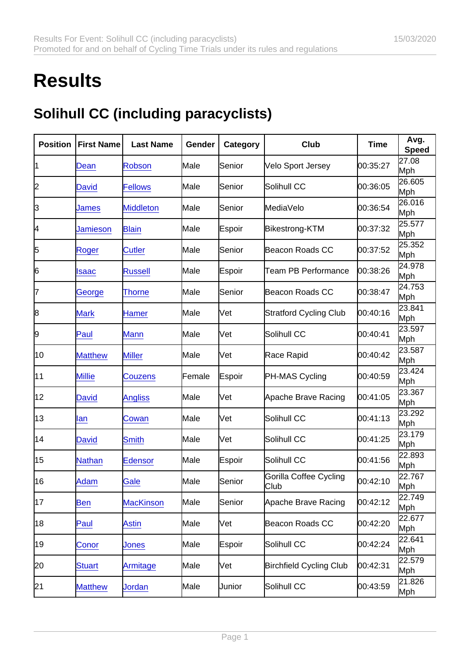## **Results**

## Solihull CC (including paracyclists)

| Position | <b>First Name</b> | Last Name        | Gender | Category | Club                           | Time     | Avg.<br>Speed |
|----------|-------------------|------------------|--------|----------|--------------------------------|----------|---------------|
| 11       | Dean              | <b>Robson</b>    | Male   | Senior   | Velo Sport Jersey              | 00:35:27 | 27.08<br>Mph  |
| 2        | <b>David</b>      | <b>Fellows</b>   | Male   | Senior   | Solihull CC                    | 00:36:05 | 26.605<br>Mph |
| 3        | James             | <b>Middleton</b> | Male   | Senior   | MediaVelo                      | 00:36:54 | 26.016<br>Mph |
| 4        | Jamieson          | <b>Blain</b>     | Male   | Espoir   | Bikestrong-KTM                 | 00:37:32 | 25.577<br>Mph |
| 5        | Roger             | <b>Cutler</b>    | Male   | Senior   | <b>Beacon Roads CC</b>         | 00:37:52 | 25.352<br>Mph |
| 6        | Isaac             | <b>Russell</b>   | Male   | Espoir   | Team PB Performance            | 00:38:26 | 24.978<br>Mph |
| 17       | George            | <b>Thorne</b>    | Male   | Senior   | <b>Beacon Roads CC</b>         | 00:38:47 | 24.753<br>Mph |
| 8        | <b>Mark</b>       | <b>Hamer</b>     | Male   | lVet     | <b>Stratford Cycling Club</b>  | 00:40:16 | 23.841<br>Mph |
| 9        | Paul              | <b>Mann</b>      | Male   | Vet      | Solihull CC                    | 00:40:41 | 23.597<br>Mph |
| 10       | <b>Matthew</b>    | <b>Miller</b>    | Male   | Vet      | Race Rapid                     | 00:40:42 | 23.587<br>Mph |
| 11       | <b>Millie</b>     | <b>Couzens</b>   | Female | Espoir   | PH-MAS Cycling                 | 00:40:59 | 23.424<br>Mph |
| 12       | David             | <b>Angliss</b>   | Male   | Vet      | Apache Brave Racing            | 00:41:05 | 23.367<br>Mph |
| 13       | lan               | Cowan            | Male   | lVet     | Solihull CC                    | 00:41:13 | 23.292<br>Mph |
| 14       | David             | Smith            | Male   | Vet      | Solihull CC                    | 00:41:25 | 23.179<br>Mph |
| 15       | Nathan            | <b>Edensor</b>   | Male   | Espoir   | Solihull CC                    | 00:41:56 | 22.893<br>Mph |
| 16       | Adam              | Gale             | Male   | Senior   | Gorilla Coffee Cycling<br>Club | 00:42:10 | 22.767<br>Mph |
| 17       | Ben               | <b>MacKinson</b> | Male   | Senior   | Apache Brave Racing            | 00:42:12 | 22.749<br>Mph |
| 18       | Paul              | <b>Astin</b>     | Male   | Vet      | Beacon Roads CC                | 00:42:20 | 22.677<br>Mph |
| 19       | Conor             | Jones            | Male   | Espoir   | Solihull CC                    | 00:42:24 | 22.641<br>Mph |
| 20       | <b>Stuart</b>     | Armitage         | Male   | [Vet     | <b>Birchfield Cycling Club</b> | 00:42:31 | 22.579<br>Mph |
| 21       | <b>Matthew</b>    | <b>Jordan</b>    | Male   | Junior   | Solihull CC                    | 00:43:59 | 21.826<br>Mph |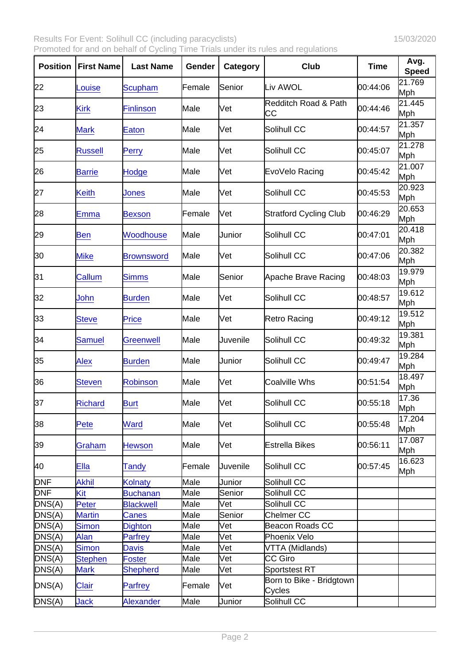Results For Event: Solihull CC (including paracyclists) 15/03/2020 Promoted for and on behalf of Cycling Time Trials under its rules and regulations

| Position   | <b>First Name</b> | Last Name         | Gender | Category | Club                                  | Time     | Avg.<br>Speed |
|------------|-------------------|-------------------|--------|----------|---------------------------------------|----------|---------------|
| 22         | Louise            | <b>Scupham</b>    | Female | Senior   | Liv AWOL                              | 00:44:06 | 21.769<br>Mph |
| 23         | <b>Kirk</b>       | <b>Finlinson</b>  | Male   | Vet      | <b>Redditch Road &amp; Path</b><br>CС | 00:44:46 | 21.445<br>Mph |
| 24         | <b>Mark</b>       | Eaton             | Male   | Vet      | Solihull CC                           | 00:44:57 | 21.357<br>Mph |
| 25         | <b>Russell</b>    | <b>Perry</b>      | Male   | Vet      | Solihull CC                           | 00:45:07 | 21.278<br>Mph |
| 26         | <b>Barrie</b>     | Hodge             | Male   | Vet      | EvoVelo Racing                        | 00:45:42 | 21.007<br>Mph |
| 27         | <b>Keith</b>      | Jones             | Male   | Vet      | Solihull CC                           | 00:45:53 | 20.923<br>Mph |
| 28         | Emma              | <b>Bexson</b>     | Female | Vet      | <b>Stratford Cycling Club</b>         | 00:46:29 | 20.653<br>Mph |
| 29         | <b>Ben</b>        | <b>Woodhouse</b>  | Male   | Junior   | Solihull CC                           | 00:47:01 | 20.418<br>Mph |
| 30         | <b>Mike</b>       | <b>Brownsword</b> | Male   | lVet     | Solihull CC                           | 00:47:06 | 20.382<br>Mph |
| 31         | Callum            | <b>Simms</b>      | Male   | Senior   | Apache Brave Racing                   | 00:48:03 | 19.979<br>Mph |
| 32         | John              | <b>Burden</b>     | Male   | Vet      | Solihull CC                           | 00:48:57 | 19.612<br>Mph |
| 33         | <b>Steve</b>      | Price             | Male   | Vet      | Retro Racing                          | 00:49:12 | 19.512<br>Mph |
| 34         | Samuel            | <b>Greenwell</b>  | Male   | Juvenile | Solihull CC                           | 00:49:32 | 19.381<br>Mph |
| 35         | <b>Alex</b>       | <b>Burden</b>     | Male   | Junior   | Solihull CC                           | 00:49:47 | 19.284<br>Mph |
| 36         | <b>Steven</b>     | Robinson          | Male   | Vet      | <b>Coalville Whs</b>                  | 00:51:54 | 18.497<br>Mph |
| 37         | <b>Richard</b>    | <b>Burt</b>       | Male   | Vet      | Solihull CC                           | 00:55:18 | 17.36<br>Mph  |
| 38         | Pete              | <b>Ward</b>       | Male   | [Vet     | Solihull CC                           | 00:55:48 | 17.204<br>Mph |
| 39         | Graham            | <b>Hewson</b>     | Male   | Vet      | <b>Estrella Bikes</b>                 | 00:56:11 | 17.087<br>Mph |
| 40         | Ella              | Tandy             | Female | Juvenile | Solihull CC                           | 00:57:45 | 16.623<br>Mph |
| <b>DNF</b> | <b>Akhil</b>      | Kolnaty           | Male   | Junior   | Solihull CC                           |          |               |
| <b>DNF</b> | Kit               | <b>Buchanan</b>   | Male   | Senior   | Solihull CC                           |          |               |
| DNS(A)     | Peter             | <b>Blackwell</b>  | Male   | Vet      | Solihull CC                           |          |               |
| DNS(A)     | <b>Martin</b>     | Canes             | Male   | Senior   | Chelmer CC                            |          |               |
| DNS(A)     | <b>Simon</b>      | <b>Dighton</b>    | Male   | Vet      | Beacon Roads CC                       |          |               |
| DNS(A)     | Alan              | <b>Parfrey</b>    | Male   | Vet      | Phoenix Velo                          |          |               |
| DNS(A)     | Simon             | <b>Davis</b>      | Male   | Vet      | VTTA (Midlands)                       |          |               |
| DNS(A)     | <b>Stephen</b>    | Foster            | Male   | Vet      | CC Giro                               |          |               |
| DNS(A)     | <b>Mark</b>       | <b>Shepherd</b>   | Male   | Vet      | Sportstest RT                         |          |               |
| DNS(A)     | <b>Clair</b>      | Parfrey           | Female | Vet      | Born to Bike - Bridgtown<br>Cycles    |          |               |
| DNS(A)     | Jack              | <b>Alexander</b>  | Male   | Junior   | Solihull CC                           |          |               |